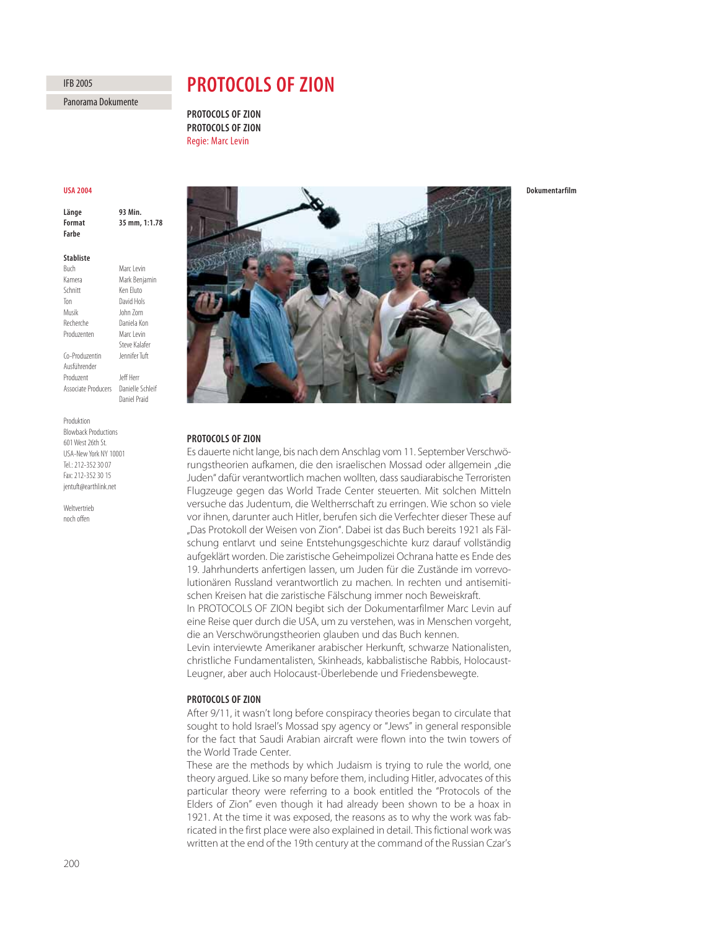## 200

# **PROTOCOLS OF ZION**

**PROTOCOLS OF ZION PROTOCOLS OF ZION Regie: Marc Levin** Regie: Marc Levin

## **IISA 2004**

**93 Min** Länge Format 35 mm, 1:1.78 **Format 35 mm, 1:1.78**

### **Stabliste**

**Buch** Marc Levin Kamera Mark Benjamin Schnitt Ken Eluto Ton David Hols Musik John Zorn Recherche Daniela Kon Produzenten Marc Levin Steve Kalafer Co-Produzentin Ausführender Produzent **Jeff Herr** Associate Producers Danielle Schleif Daniel Praid

Produktion Blowback Productions 601 West 26th St. USA-New York NY 10001 Tel.: 212-352 30 07 Fax: 212-352 30 15 jentuft@earthlink.net

Weltvertrieb noch offen

# PROTOCOLS OF ZION

Es dauerte nicht lange, bis nach dem Anschlag vom 11. September Verschwörungstheorien aufkamen, die den israelischen Mossad oder allgemein "die Juden" dafür verantwortlich machen wollten, dass saudiarabische Terroristen Flugzeuge gegen das World Trade Center steuerten. Mit solchen Mitteln versuche das Judentum, die Weltherrschaft zu erringen. Wie schon so viele vor ihnen, darunter auch Hitler, berufen sich die Verfechter dieser These auf "Das Protokoll der Weisen von Zion". Dabei ist das Buch bereits 1921 als Fälschung entlarvt und seine Entstehungsgeschichte kurz darauf vollständig aufgeklärt worden. Die zaristische Geheimpolizei Ochrana hatte es Ende des 19. Jahrhunderts anfertigen lassen, um Juden für die Zustände im vorrevolutionären Russland verantwortlich zu machen. In rechten und antisemitischen Kreisen hat die zaristische Fälschung immer noch Beweiskraft. In PROTOCOLS OF ZION begibt sich der Dokumentarfilmer Marc Levin auf

eine Reise quer durch die USA, um zu verstehen, was in Menschen vorgeht, die an Verschwörungstheorien glauben und das Buch kennen.

Levin interviewte Amerikaner arabischer Herkunft, schwarze Nationalisten, christliche Fundamentalisten, Skinheads, kabbalistische Rabbis, Holocaust-Leugner, aber auch Holocaust-Überlebende und Friedensbewegte.

After 9/11, it wasn't long before conspiracy theories began to circulate that sought to hold Israel's Mossad spy agency or "Jews" in general responsible for the fact that Saudi Arabian aircraft were flown into the twin towers of the World Trade Center.

These are the methods by which Judaism is trying to rule the world, one theory argued. Like so many before them, including Hitler, advocates of this particular theory were referring to a book entitled the "Protocols of the Elders of Zion" even though it had already been shown to be a hoax in 1921. At the time it was exposed, the reasons as to why the work was fabricated in the first place were also explained in detail. This fictional work was written at the end of the 19th century at the command of the Russian Czar's

Dokumentarfilm





Panorama Dokumente